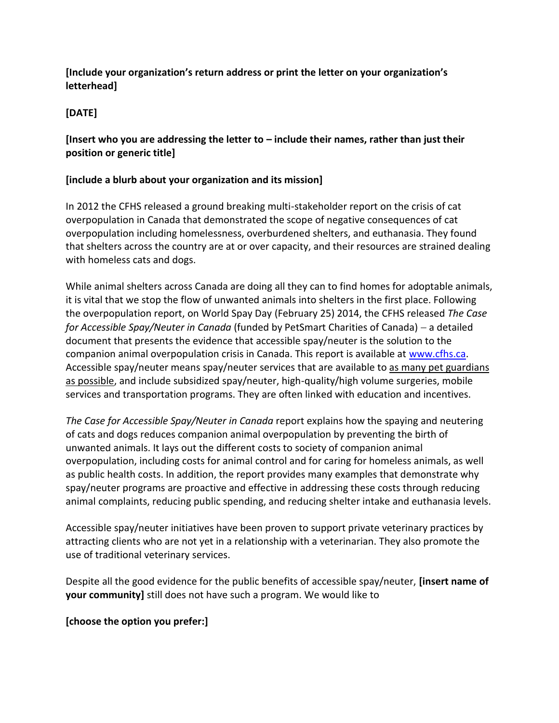### **[Include your organization's return address or print the letter on your organization's letterhead]**

# **[DATE]**

### **[Insert who you are addressing the letter to – include their names, rather than just their position or generic title]**

## **[include a blurb about your organization and its mission]**

In 2012 the CFHS released a ground breaking multi-stakeholder report on the crisis of cat overpopulation in Canada that demonstrated the scope of negative consequences of cat overpopulation including homelessness, overburdened shelters, and euthanasia. They found that shelters across the country are at or over capacity, and their resources are strained dealing with homeless cats and dogs.

While animal shelters across Canada are doing all they can to find homes for adoptable animals, it is vital that we stop the flow of unwanted animals into shelters in the first place. Following the overpopulation report, on World Spay Day (February 25) 2014, the CFHS released *The Case for Accessible Spay/Neuter in Canada* (funded by PetSmart Charities of Canada) a detailed document that presents the evidence that accessible spay/neuter is the solution to the companion animal overpopulation crisis in Canada. This report is available at [www.cfhs.ca.](http://www.cfhs.ca/) Accessible spay/neuter means spay/neuter services that are available to as many pet guardians as possible, and include subsidized spay/neuter, high-quality/high volume surgeries, mobile services and transportation programs. They are often linked with education and incentives.

*The Case for Accessible Spay/Neuter in Canada* report explains how the spaying and neutering of cats and dogs reduces companion animal overpopulation by preventing the birth of unwanted animals. It lays out the different costs to society of companion animal overpopulation, including costs for animal control and for caring for homeless animals, as well as public health costs. In addition, the report provides many examples that demonstrate why spay/neuter programs are proactive and effective in addressing these costs through reducing animal complaints, reducing public spending, and reducing shelter intake and euthanasia levels.

Accessible spay/neuter initiatives have been proven to support private veterinary practices by attracting clients who are not yet in a relationship with a veterinarian. They also promote the use of traditional veterinary services.

Despite all the good evidence for the public benefits of accessible spay/neuter, **[insert name of your community]** still does not have such a program. We would like to

#### **[choose the option you prefer:]**